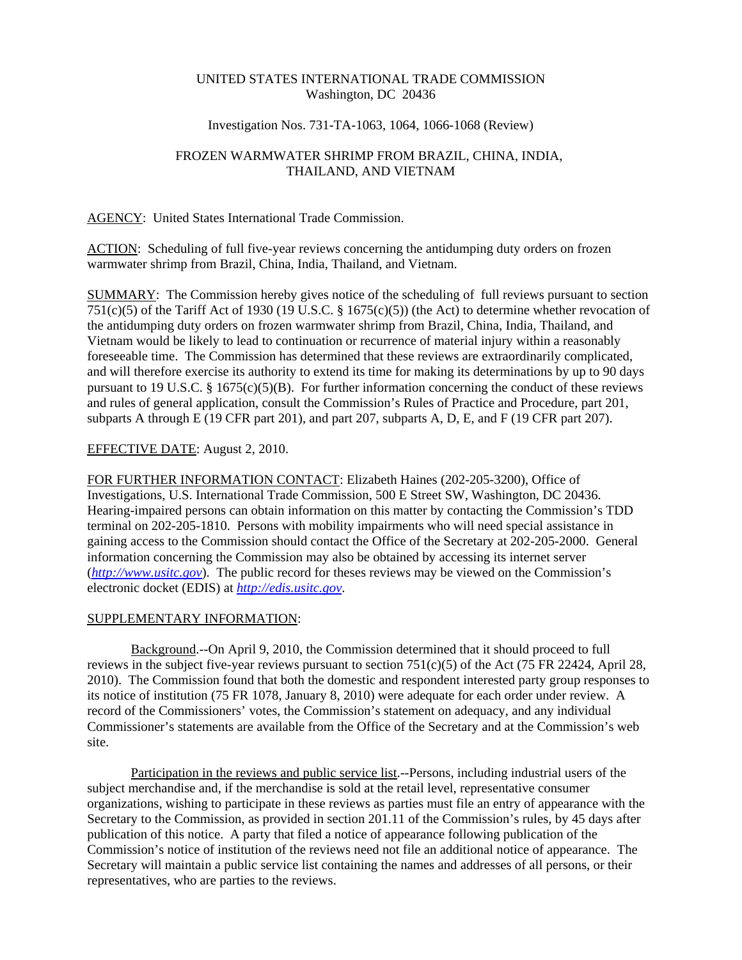## UNITED STATES INTERNATIONAL TRADE COMMISSION Washington, DC 20436

## Investigation Nos. 731-TA-1063, 1064, 1066-1068 (Review)

# FROZEN WARMWATER SHRIMP FROM BRAZIL, CHINA, INDIA, THAILAND, AND VIETNAM

#### AGENCY: United States International Trade Commission.

ACTION: Scheduling of full five-year reviews concerning the antidumping duty orders on frozen warmwater shrimp from Brazil, China, India, Thailand, and Vietnam.

SUMMARY: The Commission hereby gives notice of the scheduling of full reviews pursuant to section 751(c)(5) of the Tariff Act of 1930 (19 U.S.C. § 1675(c)(5)) (the Act) to determine whether revocation of the antidumping duty orders on frozen warmwater shrimp from Brazil, China, India, Thailand, and Vietnam would be likely to lead to continuation or recurrence of material injury within a reasonably foreseeable time. The Commission has determined that these reviews are extraordinarily complicated, and will therefore exercise its authority to extend its time for making its determinations by up to 90 days pursuant to 19 U.S.C. § 1675(c)(5)(B). For further information concerning the conduct of these reviews and rules of general application, consult the Commission's Rules of Practice and Procedure, part 201, subparts A through E (19 CFR part 201), and part 207, subparts A, D, E, and F (19 CFR part 207).

## EFFECTIVE DATE: August 2, 2010.

FOR FURTHER INFORMATION CONTACT: Elizabeth Haines (202-205-3200), Office of Investigations, U.S. International Trade Commission, 500 E Street SW, Washington, DC 20436. Hearing-impaired persons can obtain information on this matter by contacting the Commission's TDD terminal on 202-205-1810. Persons with mobility impairments who will need special assistance in gaining access to the Commission should contact the Office of the Secretary at 202-205-2000. General information concerning the Commission may also be obtained by accessing its internet server (*http://www.usitc.gov*). The public record for theses reviews may be viewed on the Commission's electronic docket (EDIS) at *http://edis.usitc.gov*.

#### SUPPLEMENTARY INFORMATION:

Background.--On April 9, 2010, the Commission determined that it should proceed to full reviews in the subject five-year reviews pursuant to section  $751(c)(5)$  of the Act (75 FR 22424, April 28, 2010). The Commission found that both the domestic and respondent interested party group responses to its notice of institution (75 FR 1078, January 8, 2010) were adequate for each order under review. A record of the Commissioners' votes, the Commission's statement on adequacy, and any individual Commissioner's statements are available from the Office of the Secretary and at the Commission's web site.

Participation in the reviews and public service list.--Persons, including industrial users of the subject merchandise and, if the merchandise is sold at the retail level, representative consumer organizations, wishing to participate in these reviews as parties must file an entry of appearance with the Secretary to the Commission, as provided in section 201.11 of the Commission's rules, by 45 days after publication of this notice. A party that filed a notice of appearance following publication of the Commission's notice of institution of the reviews need not file an additional notice of appearance. The Secretary will maintain a public service list containing the names and addresses of all persons, or their representatives, who are parties to the reviews.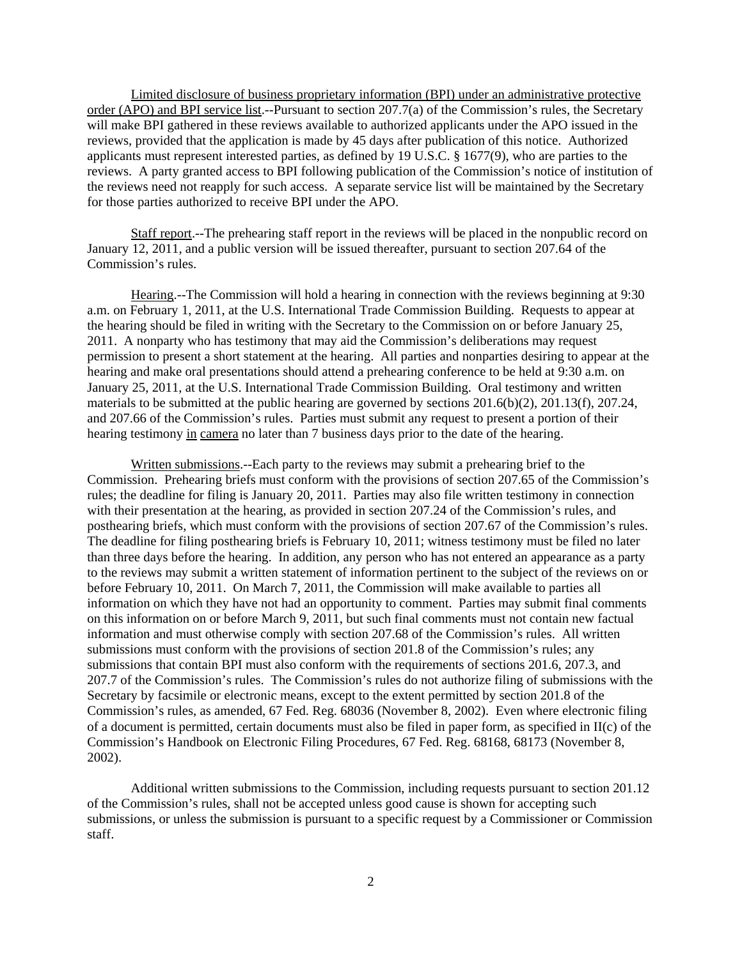Limited disclosure of business proprietary information (BPI) under an administrative protective order (APO) and BPI service list.--Pursuant to section 207.7(a) of the Commission's rules, the Secretary will make BPI gathered in these reviews available to authorized applicants under the APO issued in the reviews, provided that the application is made by 45 days after publication of this notice. Authorized applicants must represent interested parties, as defined by 19 U.S.C. § 1677(9), who are parties to the reviews. A party granted access to BPI following publication of the Commission's notice of institution of the reviews need not reapply for such access. A separate service list will be maintained by the Secretary for those parties authorized to receive BPI under the APO.

Staff report.--The prehearing staff report in the reviews will be placed in the nonpublic record on January 12, 2011, and a public version will be issued thereafter, pursuant to section 207.64 of the Commission's rules.

Hearing.--The Commission will hold a hearing in connection with the reviews beginning at 9:30 a.m. on February 1, 2011, at the U.S. International Trade Commission Building. Requests to appear at the hearing should be filed in writing with the Secretary to the Commission on or before January 25, 2011. A nonparty who has testimony that may aid the Commission's deliberations may request permission to present a short statement at the hearing. All parties and nonparties desiring to appear at the hearing and make oral presentations should attend a prehearing conference to be held at 9:30 a.m. on January 25, 2011, at the U.S. International Trade Commission Building. Oral testimony and written materials to be submitted at the public hearing are governed by sections 201.6(b)(2), 201.13(f), 207.24, and 207.66 of the Commission's rules. Parties must submit any request to present a portion of their hearing testimony in camera no later than 7 business days prior to the date of the hearing.

Written submissions.--Each party to the reviews may submit a prehearing brief to the Commission. Prehearing briefs must conform with the provisions of section 207.65 of the Commission's rules; the deadline for filing is January 20, 2011. Parties may also file written testimony in connection with their presentation at the hearing, as provided in section 207.24 of the Commission's rules, and posthearing briefs, which must conform with the provisions of section 207.67 of the Commission's rules. The deadline for filing posthearing briefs is February 10, 2011; witness testimony must be filed no later than three days before the hearing. In addition, any person who has not entered an appearance as a party to the reviews may submit a written statement of information pertinent to the subject of the reviews on or before February 10, 2011. On March 7, 2011, the Commission will make available to parties all information on which they have not had an opportunity to comment. Parties may submit final comments on this information on or before March 9, 2011, but such final comments must not contain new factual information and must otherwise comply with section 207.68 of the Commission's rules. All written submissions must conform with the provisions of section 201.8 of the Commission's rules; any submissions that contain BPI must also conform with the requirements of sections 201.6, 207.3, and 207.7 of the Commission's rules. The Commission's rules do not authorize filing of submissions with the Secretary by facsimile or electronic means, except to the extent permitted by section 201.8 of the Commission's rules, as amended, 67 Fed. Reg. 68036 (November 8, 2002). Even where electronic filing of a document is permitted, certain documents must also be filed in paper form, as specified in II(c) of the Commission's Handbook on Electronic Filing Procedures, 67 Fed. Reg. 68168, 68173 (November 8, 2002).

Additional written submissions to the Commission, including requests pursuant to section 201.12 of the Commission's rules, shall not be accepted unless good cause is shown for accepting such submissions, or unless the submission is pursuant to a specific request by a Commissioner or Commission staff.